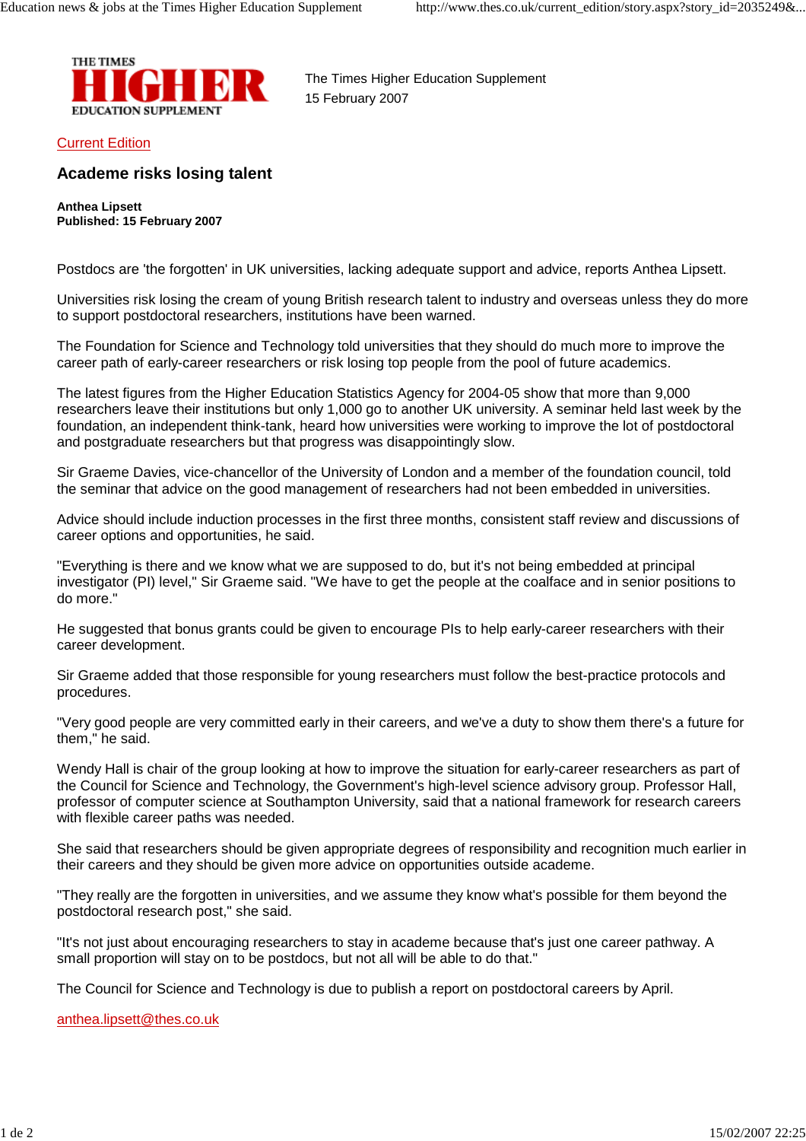

The Times Higher Education Supplement 15 February 2007

Current Edition

## **Academe risks losing talent**

**Anthea Lipsett Published: 15 February 2007**

Postdocs are 'the forgotten' in UK universities, lacking adequate support and advice, reports Anthea Lipsett.

Universities risk losing the cream of young British research talent to industry and overseas unless they do more to support postdoctoral researchers, institutions have been warned.

The Foundation for Science and Technology told universities that they should do much more to improve the career path of early-career researchers or risk losing top people from the pool of future academics.

The latest figures from the Higher Education Statistics Agency for 2004-05 show that more than 9,000 researchers leave their institutions but only 1,000 go to another UK university. A seminar held last week by the foundation, an independent think-tank, heard how universities were working to improve the lot of postdoctoral and postgraduate researchers but that progress was disappointingly slow.

Sir Graeme Davies, vice-chancellor of the University of London and a member of the foundation council, told the seminar that advice on the good management of researchers had not been embedded in universities.

Advice should include induction processes in the first three months, consistent staff review and discussions of career options and opportunities, he said.

"Everything is there and we know what we are supposed to do, but it's not being embedded at principal investigator (PI) level," Sir Graeme said. "We have to get the people at the coalface and in senior positions to do more."

He suggested that bonus grants could be given to encourage PIs to help early-career researchers with their career development.

Sir Graeme added that those responsible for young researchers must follow the best-practice protocols and procedures.

"Very good people are very committed early in their careers, and we've a duty to show them there's a future for them," he said.

Wendy Hall is chair of the group looking at how to improve the situation for early-career researchers as part of the Council for Science and Technology, the Government's high-level science advisory group. Professor Hall, professor of computer science at Southampton University, said that a national framework for research careers with flexible career paths was needed.

She said that researchers should be given appropriate degrees of responsibility and recognition much earlier in their careers and they should be given more advice on opportunities outside academe.

"They really are the forgotten in universities, and we assume they know what's possible for them beyond the postdoctoral research post," she said.

"It's not just about encouraging researchers to stay in academe because that's just one career pathway. A small proportion will stay on to be postdocs, but not all will be able to do that."

The Council for Science and Technology is due to publish a report on postdoctoral careers by April.

anthea.lipsett@thes.co.uk